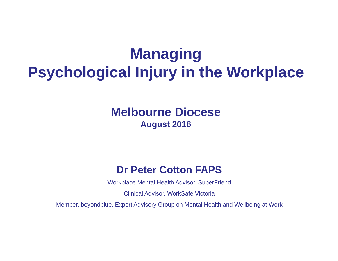# **Managing Psychological Injury in the Workplace**

## **Melbourne Diocese August 2016**

### **Dr Peter Cotton FAPS**

Workplace Mental Health Advisor, SuperFriend

Clinical Advisor, WorkSafe Victoria

Member, beyondblue, Expert Advisory Group on Mental Health and Wellbeing at Work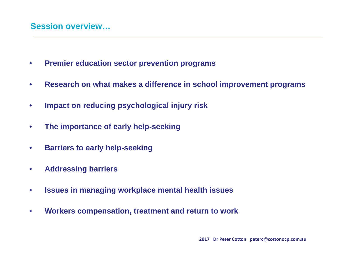#### **Session overview…**

- $\bullet$ **Premier education sector prevention programs**
- $\bullet$ **Research on what makes a difference in school improvement programs**
- •**Impact on reducing psychological injury risk**
- $\bullet$ **The importance of early help-seeking**
- $\bullet$ **Barriers to early help-seeking**
- •**Addressing barriers**
- $\bullet$ **Issues in managing workplace mental health issues**
- $\bullet$ **Workers compensation, treatment and return to work**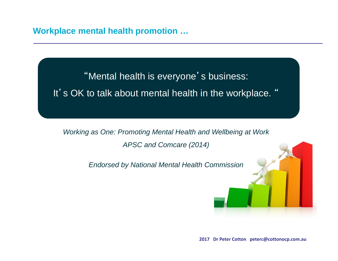#### **Workplace mental health promotion …**

"Mental health is everyone's business: It's OK to talk about mental health in the workplace. "

*Working as One: Promoting Mental Health and Wellbeing at Work APSC and Comcare (2014)*

*Endorsed by National Mental Health Commission* 

**2017 Dr Peter Cotton peterc@cottonocp.com.au**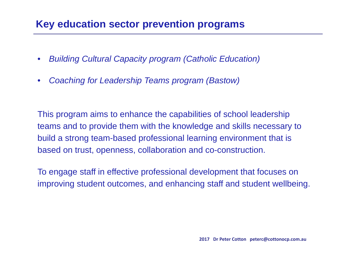### **Key education sector prevention programs**

- $\bullet$ *Building Cultural Capacity program (Catholic Education)*
- $\bullet$ *Coaching for Leadership Teams program (Bastow)*

This program aims to enhance the capabilities of school leadership teams and to provide them with the knowledge and skills necessary to build a strong team-based professional learning environment that is based on trust, openness, collaboration and co-construction.

To engage staff in effective professional development that focuses on improving student outcomes, and enhancing staff and student wellbeing.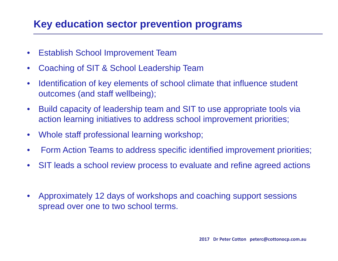## **Key education sector prevention programs**

- $\bullet$ Establish School Improvement Team
- •Coaching of SIT & School Leadership Team
- • Identification of key elements of school climate that influence student outcomes (and staff wellbeing);
- $\bullet$  Build capacity of leadership team and SIT to use appropriate tools via action learning initiatives to address school improvement priorities;
- $\bullet$ Whole staff professional learning workshop;
- $\bullet$ Form Action Teams to address specific identified improvement priorities;
- •SIT leads a school review process to evaluate and refine agreed actions
- • Approximately 12 days of workshops and coaching support sessions spread over one to two school terms.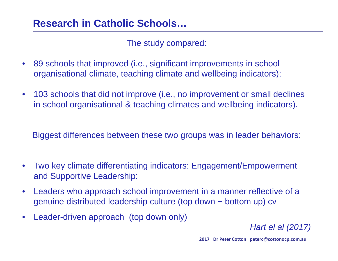The study compared:

- • 89 schools that improved (i.e., significant improvements in school organisational climate, teaching climate and wellbeing indicators);
- • 103 schools that did not improve (i.e., no improvement or small declines in school organisational & teaching climates and wellbeing indicators).

Biggest differences between these two groups was in leader behaviors:

- • Two key climate differentiating indicators: Engagement/Empowerment and Supportive Leadership:
- • Leaders who approach school improvement in a manner reflective of a genuine distributed leadership culture (top down + bottom up) cv
- •Leader-driven approach (top down only)

*Hart el al (2017)*

**2017 Dr Peter Cotton peterc@cottonocp.com.au**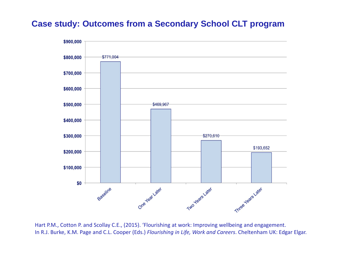#### **Case study: Outcomes from a Secondary School CLT program**



Hart P.M., Cotton P. and Scollay C.E., (2015). 'Flourishing at work: Improving wellbeing and engagement. In R.J. Burke, K.M. Page and C.L. Cooper (Eds.) *Flourishing in Life, Work and Careers*. Cheltenham UK: Edgar Elgar.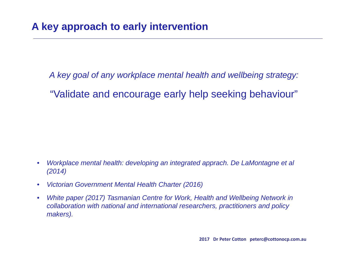*A key goal of any workplace mental health and wellbeing strategy:* 

"Validate and encourage early help seeking behaviour"

- •*Workplace mental health: developing an integrated apprach. De LaMontagne et al (2014)*
- $\bullet$ *Victorian Government Mental Health Charter (2016)*
- $\bullet$ *White paper (2017) Tasmanian Centre for Work, Health and Wellbeing Network in collaboration with national and international researchers, practitioners and policy makers).*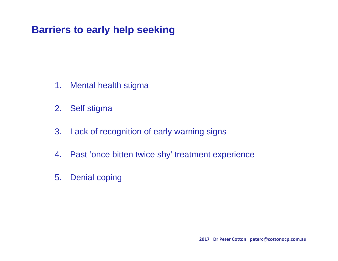- 1. Mental health stigma
- 2. Self stigma
- 3. Lack of recognition of early warning signs
- 4. Past 'once bitten twice shy' treatment experience
- 5. Denial coping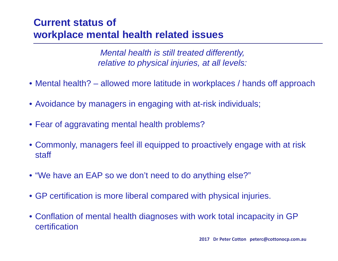# **Current status of workplace mental health related issues**

*Mental health is still treated differently, relative to physical injuries, at all levels:*

- Mental health? allowed more latitude in workplaces / hands off approach
- Avoidance by managers in engaging with at-risk individuals;
- Fear of aggravating mental health problems?
- Commonly, managers feel ill equipped to proactively engage with at risk staff
- "We have an EAP so we don't need to do anything else?"
- GP certification is more liberal compared with physical injuries.
- Conflation of mental health diagnoses with work total incapacity in GP certification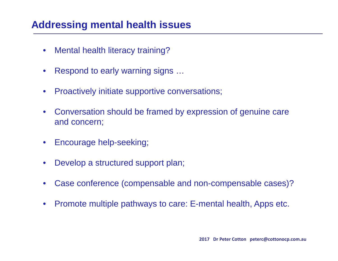### **Addressing mental health issues**

- $\bullet$ Mental health literacy training?
- •Respond to early warning signs …
- •Proactively initiate supportive conversations;
- • Conversation should be framed by expression of genuine care and concern;
- $\bullet$ Encourage help-seeking;
- $\bullet$ Develop a structured support plan;
- •Case conference (compensable and non-compensable cases)?
- $\bullet$ Promote multiple pathways to care: E-mental health, Apps etc.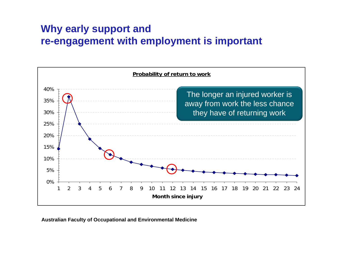# **Why early support and re-engagement with employment is important**



**Australian Faculty of Occupational and Environmental Medicine**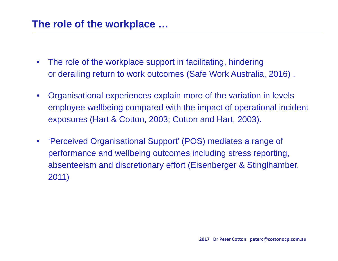- $\bullet$  The role of the workplace support in facilitating, hindering or derailing return to work outcomes (Safe Work Australia, 2016) .
- $\bullet$  Organisational experiences explain more of the variation in levels employee wellbeing compared with the impact of operational incident exposures (Hart & Cotton, 2003; Cotton and Hart, 2003).
- $\bullet$  'Perceived Organisational Support' (POS) mediates a range of performance and wellbeing outcomes including stress reporting, absenteeism and discretionary effort (Eisenberger & Stinglhamber, 2011)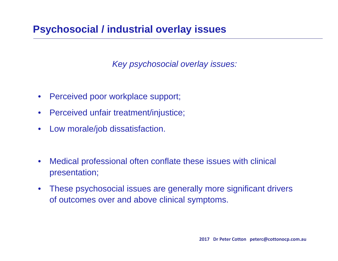# **Psychosocial / industrial overlay issues**

*Key psychosocial overlay issues:*

- $\bullet$ Perceived poor workplace support;
- $\bullet$ Perceived unfair treatment/injustice;
- $\bullet$ Low morale/job dissatisfaction.
- $\bullet$  Medical professional often conflate these issues with clinical presentation;
- $\bullet$  These psychosocial issues are generally more significant drivers of outcomes over and above clinical symptoms.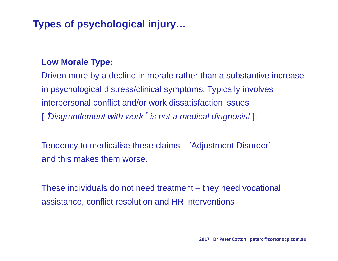#### **Low Morale Type:**

Driven more by a decline in morale rather than a substantive increase in psychological distress/clinical symptoms. Typically involves interpersonal conflict and/or work dissatisfaction issues ['*Disgruntlement with work* ' *is not a medical diagnosis!* ].

Tendency to medicalise these claims – 'Adjustment Disorder' – and this makes them worse.

These individuals do not need treatment – they need vocational assistance, conflict resolution and HR interventions